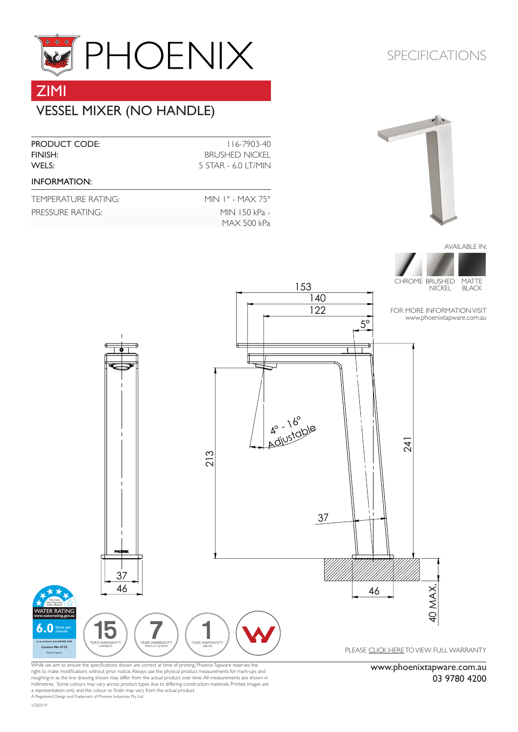

# VESSEL MIXER (NO HANDLE) ZIMI

| <b>PRODUCT CODE:</b><br>FINISH:<br>WELS: | $116 - 7903 - 40$<br><b>BRUSHED NICKEL</b><br>5 STAR - 6.0 LT/MIN |
|------------------------------------------|-------------------------------------------------------------------|
| <b>INFORMATION:</b>                      |                                                                   |
| TEMPERATURE RATING:                      | MIN $1^{\circ}$ - MAX 75 $^{\circ}$                               |
| PRESSURE RATING:                         | MIN 150 kPa -<br>MAX 500 kPa                                      |

### SPECIFICATIONS



AVAILABLE IN:



FOR MORE INFORMATION VISIT [www.phoenixtapware.com.](http://www.phoenixtapware.com.au/)au

www.phoenixtapware.com.au

03 9780 4200



153

While we aim to ensure the specifications shown are correct at time of printing, Phoenix Tapware reserves the right to make modifications without prior notice. Always use the physical product measurements for mark-ups and roughing-in as the line drawing shown may differ from the actual product over time. All measurements are shown in<br>millimetres. Some colours may vary across product types due to differing construction materials. Printed ima

A Registered Design and Trademark of Phoenix Industries Pty. Ltd

V220319